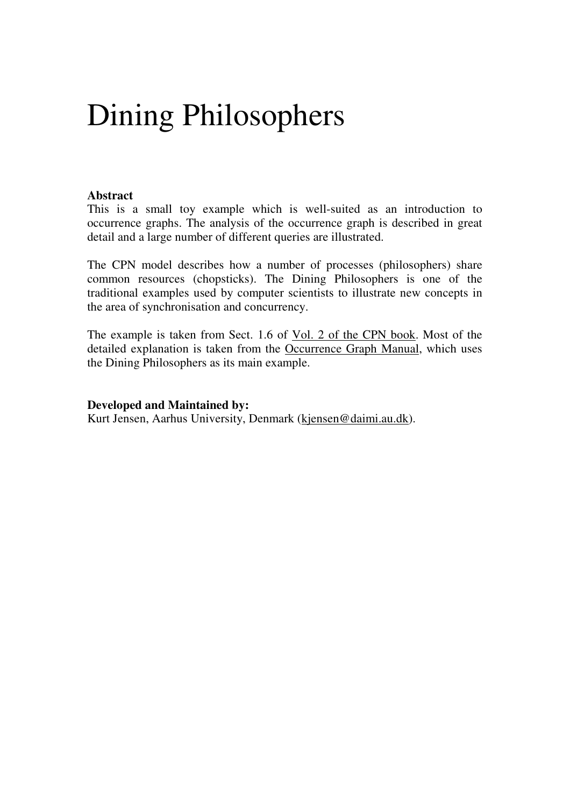## Dining Philosophers

## Abstract

This is a small toy example which is well-suited as an introduction to occurrence graphs. The analysis of the occurrence graph is described in great detail and a large number of different queries are illustrated.

The CPN model describes how a number of processes (philosophers) share common resources (chopsticks). The Dining Philosophers is one of the traditional examples used by computer scientists to illustrate new concepts in the area of synchronisation and concurrency.

The example is taken from Sect. 1.6 of Vol. 2 of the CPN book. Most of the detailed explanation is taken from the Occurrence Graph Manual, which uses the Dining Philosophers as its main example.

## Developed and Maintained by:

Kurt Jensen, Aarhus University, Denmark (kjensen@daimi.au.dk).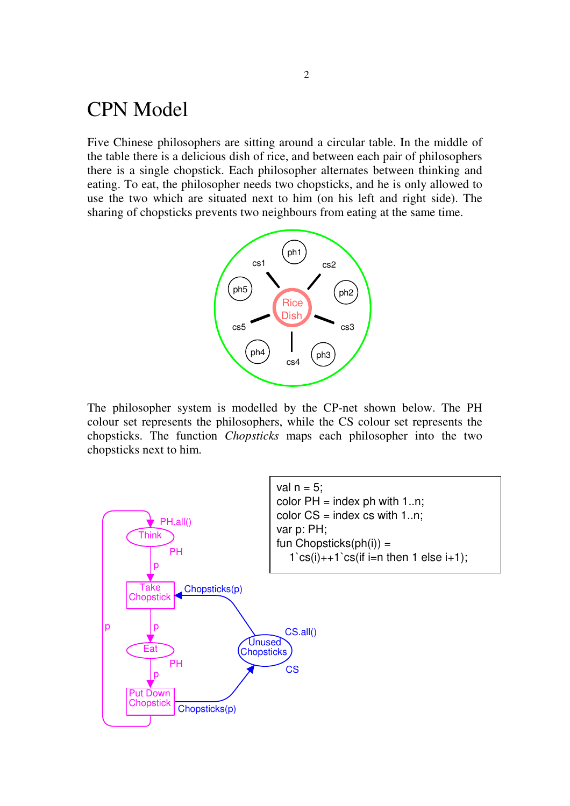## CPN Model

Five Chinese philosophers are sitting around a circular table. In the middle of the table there is a delicious dish of rice, and between each pair of philosophers there is a single chopstick. Each philosopher alternates between thinking and eating. To eat, the philosopher needs two chopsticks, and he is only allowed to use the two which are situated next to him (on his left and right side). The sharing of chopsticks prevents two neighbours from eating at the same time.



The philosopher system is modelled by the CP-net shown below. The PH colour set represents the philosophers, while the CS colour set represents the chopsticks. The function Chopsticks maps each philosopher into the two chopsticks next to him.

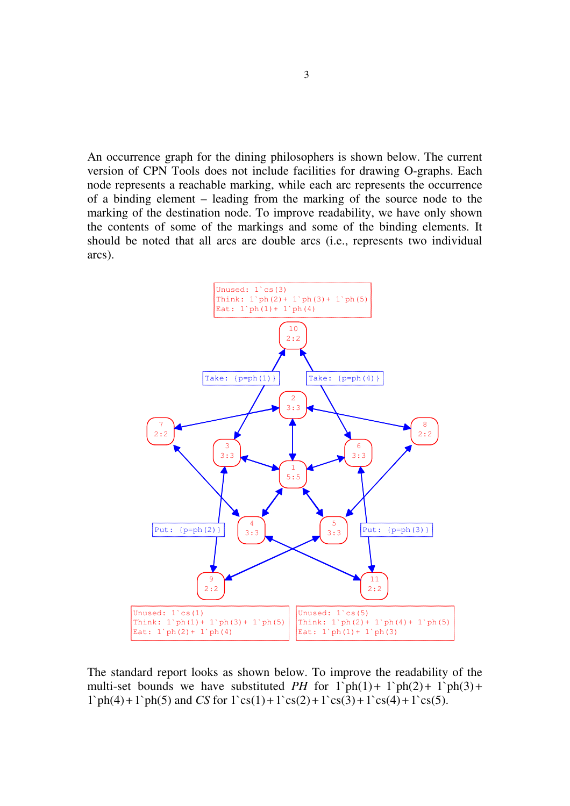An occurrence graph for the dining philosophers is shown below. The current version of CPN Tools does not include facilities for drawing O-graphs. Each node represents a reachable marking, while each arc represents the occurrence of a binding element – leading from the marking of the source node to the marking of the destination node. To improve readability, we have only shown the contents of some of the markings and some of the binding elements. It should be noted that all arcs are double arcs (i.e., represents two individual arcs).



The standard report looks as shown below. To improve the readability of the multi-set bounds we have substituted PH for  $1\phi(1) + 1\phi(2) + 1\phi(3)$ +  $1`ph(4) + 1`ph(5)$  and CS for  $1`cs(1) + 1`cs(2) + 1`cs(3) + 1`cs(4) + 1`cs(5).$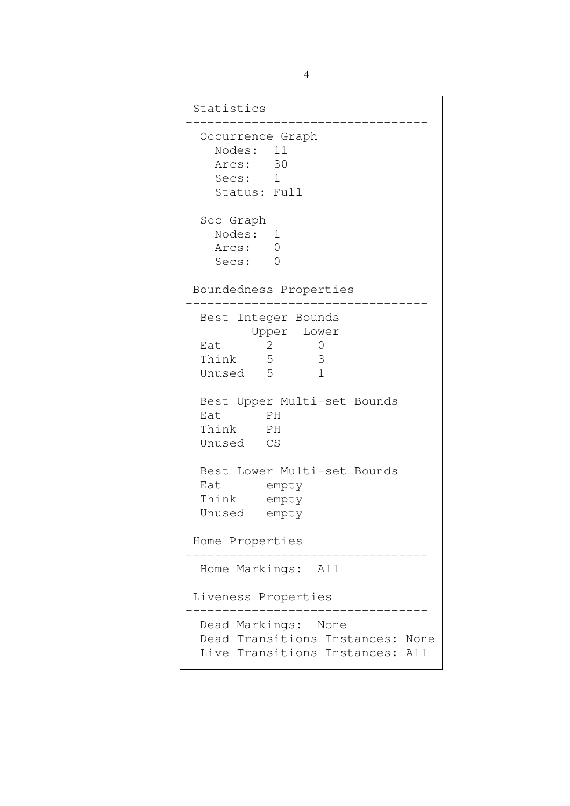```
Statistics
---------------------------------
 Occurrence Graph
   Nodes: 11
   Arcs: 30
   Secs: 1
   Status: Full
 Scc Graph
   Nodes: 1
   Arcs: 0
   Secs: 0
Boundedness Properties
---------------------------------
 Best Integer Bounds
     Upper Lower
 Eat 2 0
 Think 5 3
 Unused 5 1
 Best Upper Multi-set Bounds
 Eat PH
 Think PH
 Unused CS
 Best Lower Multi-set Bounds
 Eat empty
 Think empty
 Unused empty
Home Properties
---------------------------------
 Home Markings: All
Liveness Properties
---------------------------------
 Dead Markings: None
 Dead Transitions Instances: None
 Live Transitions Instances: All
```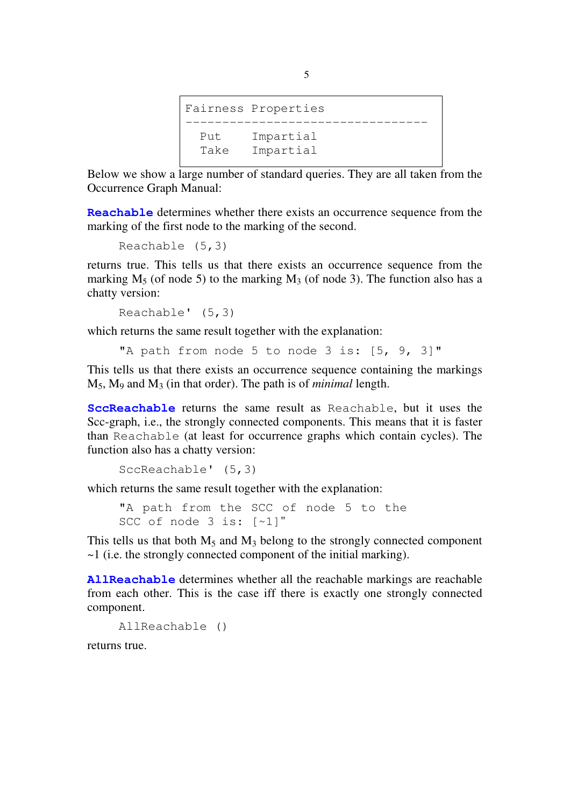```
Fairness Properties
---------------------------------
  Put Impartial
  Take Impartial
```
Below we show a large number of standard queries. They are all taken from the Occurrence Graph Manual:

Reachable determines whether there exists an occurrence sequence from the marking of the first node to the marking of the second.

```
Reachable (5,3)
```
returns true. This tells us that there exists an occurrence sequence from the marking  $M_5$  (of node 5) to the marking  $M_3$  (of node 3). The function also has a chatty version:

```
Reachable' (5,3)
```
which returns the same result together with the explanation:

"A path from node 5 to node 3 is: [5, 9, 3]"

This tells us that there exists an occurrence sequence containing the markings  $M_5$ ,  $M_9$  and  $M_3$  (in that order). The path is of *minimal* length.

SccReachable returns the same result as Reachable, but it uses the Scc-graph, i.e., the strongly connected components. This means that it is faster than Reachable (at least for occurrence graphs which contain cycles). The function also has a chatty version:

SccReachable' (5,3)

which returns the same result together with the explanation:

"A path from the SCC of node 5 to the SCC of node 3 is: [~1]"

This tells us that both  $M_5$  and  $M_3$  belong to the strongly connected component ~1 (i.e. the strongly connected component of the initial marking).

AllReachable determines whether all the reachable markings are reachable from each other. This is the case iff there is exactly one strongly connected component.

AllReachable ()

returns true.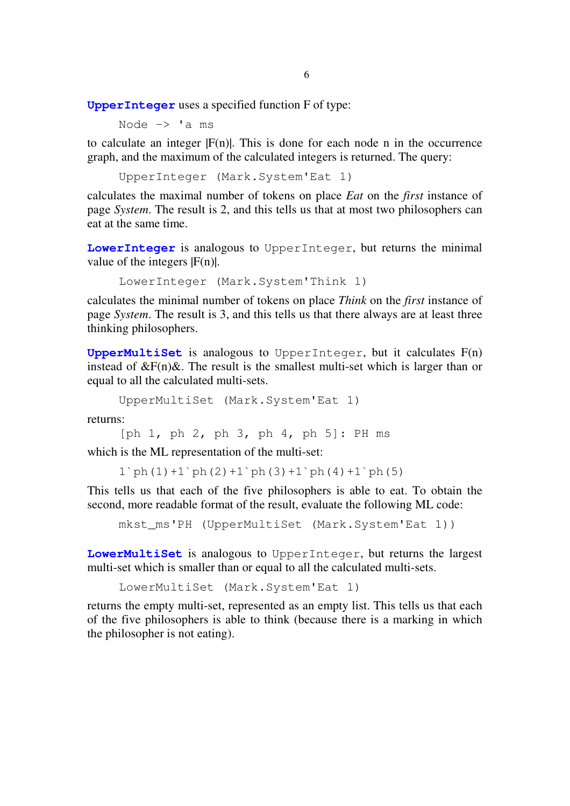6

UpperInteger uses a specified function F of type:

Node -> 'a ms

to calculate an integer  $|F(n)|$ . This is done for each node n in the occurrence graph, and the maximum of the calculated integers is returned. The query:

```
UpperInteger (Mark.System'Eat 1)
```
calculates the maximal number of tokens on place Eat on the first instance of page System. The result is 2, and this tells us that at most two philosophers can eat at the same time.

LowerInteger is analogous to UpperInteger, but returns the minimal value of the integers  $|F(n)|$ .

LowerInteger (Mark.System'Think 1)

calculates the minimal number of tokens on place Think on the first instance of page System. The result is 3, and this tells us that there always are at least three thinking philosophers.

UpperMultiSet is analogous to UpperInteger, but it calculates F(n) instead of  $\&F(n)\&$ . The result is the smallest multi-set which is larger than or equal to all the calculated multi-sets.

```
UpperMultiSet (Mark.System'Eat 1)
```
returns:

[ph 1, ph 2, ph 3, ph 4, ph 5]: PH ms

which is the ML representation of the multi-set:

 $1`ph(1)+1`ph(2)+1`ph(3)+1`ph(4)+1`ph(5)$ 

This tells us that each of the five philosophers is able to eat. To obtain the second, more readable format of the result, evaluate the following ML code:

mkst ms'PH (UpperMultiSet (Mark.System'Eat 1))

LowerMultiSet is analogous to UpperInteger, but returns the largest multi-set which is smaller than or equal to all the calculated multi-sets.

```
LowerMultiSet (Mark.System'Eat 1)
```
returns the empty multi-set, represented as an empty list. This tells us that each of the five philosophers is able to think (because there is a marking in which the philosopher is not eating).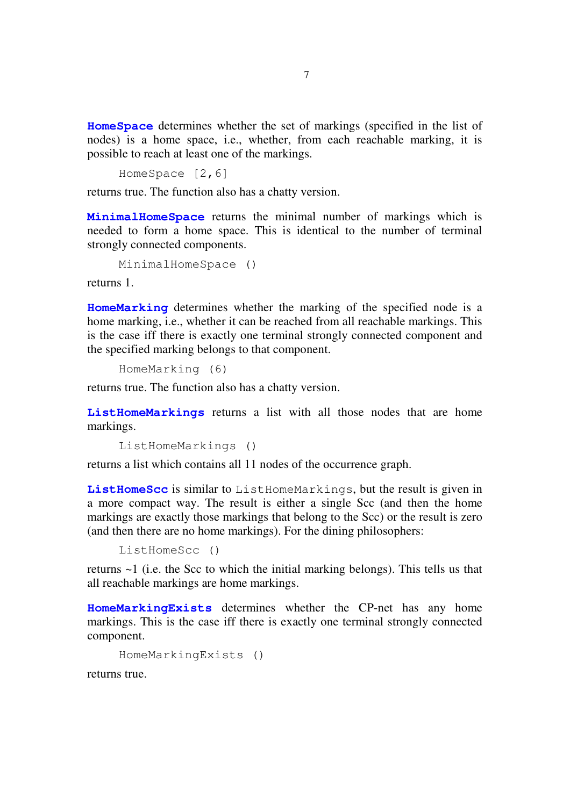HomeSpace determines whether the set of markings (specified in the list of nodes) is a home space, i.e., whether, from each reachable marking, it is possible to reach at least one of the markings.

```
HomeSpace [2,6]
```
returns true. The function also has a chatty version.

MinimalHomeSpace returns the minimal number of markings which is needed to form a home space. This is identical to the number of terminal strongly connected components.

```
MinimalHomeSpace ()
```
returns 1.

HomeMarking determines whether the marking of the specified node is a home marking, i.e., whether it can be reached from all reachable markings. This is the case iff there is exactly one terminal strongly connected component and the specified marking belongs to that component.

```
HomeMarking (6)
```
returns true. The function also has a chatty version.

ListHomeMarkings returns a list with all those nodes that are home markings.

```
ListHomeMarkings ()
```
returns a list which contains all 11 nodes of the occurrence graph.

ListHomeScc is similar to ListHomeMarkings, but the result is given in a more compact way. The result is either a single Scc (and then the home markings are exactly those markings that belong to the Scc) or the result is zero (and then there are no home markings). For the dining philosophers:

```
ListHomeScc ()
```
returns ~1 (i.e. the Scc to which the initial marking belongs). This tells us that all reachable markings are home markings.

HomeMarkingExists determines whether the CP-net has any home markings. This is the case iff there is exactly one terminal strongly connected component.

```
HomeMarkingExists ()
```
returns true.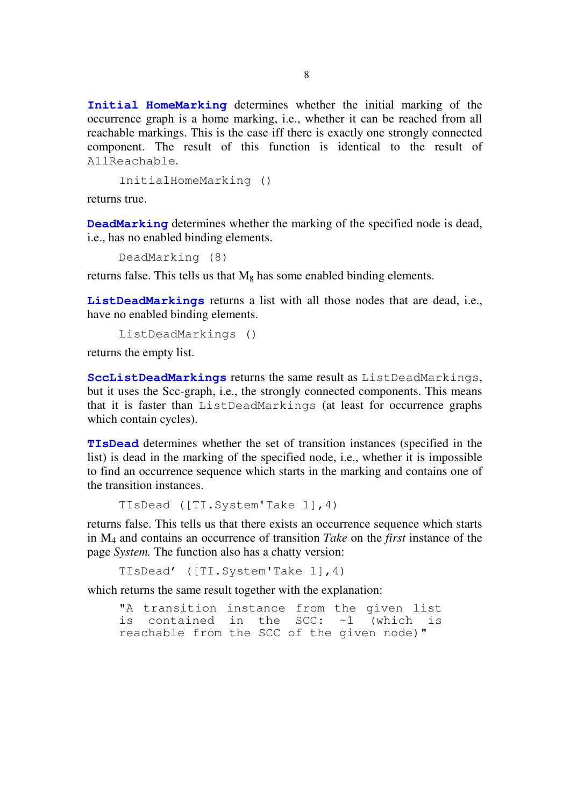Initial HomeMarking determines whether the initial marking of the occurrence graph is a home marking, i.e., whether it can be reached from all reachable markings. This is the case iff there is exactly one strongly connected component. The result of this function is identical to the result of AllReachable.

```
InitialHomeMarking ()
```
returns true.

DeadMarking determines whether the marking of the specified node is dead, i.e., has no enabled binding elements.

DeadMarking (8)

returns false. This tells us that  $M_8$  has some enabled binding elements.

ListDeadMarkings returns a list with all those nodes that are dead, i.e., have no enabled binding elements.

ListDeadMarkings ()

returns the empty list.

SccListDeadMarkings returns the same result as ListDeadMarkings, but it uses the Scc-graph, i.e., the strongly connected components. This means that it is faster than ListDeadMarkings (at least for occurrence graphs which contain cycles).

**TISDead** determines whether the set of transition instances (specified in the list) is dead in the marking of the specified node, i.e., whether it is impossible to find an occurrence sequence which starts in the marking and contains one of the transition instances.

TIsDead ([TI.System'Take 1],4)

returns false. This tells us that there exists an occurrence sequence which starts in M<sup>4</sup> and contains an occurrence of transition Take on the first instance of the page System. The function also has a chatty version:

TIsDead' ([TI.System'Take 1],4)

which returns the same result together with the explanation:

```
"A transition instance from the given list
is contained in the SCC: ~1 (which is
reachable from the SCC of the given node)"
```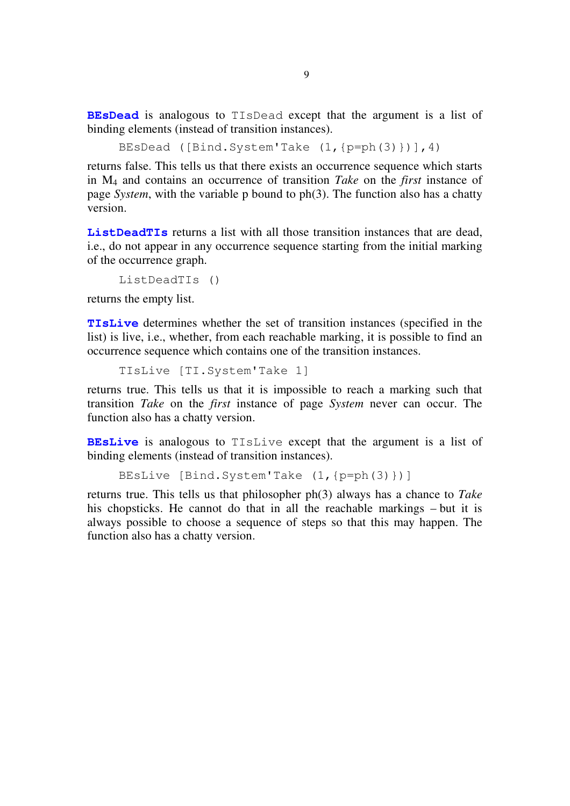BESDead is analogous to TIsDead except that the argument is a list of binding elements (instead of transition instances).

```
BEsDead ([Bind.System'Take (1,{p=ph(3)})],4)
```
returns false. This tells us that there exists an occurrence sequence which starts in  $M_4$  and contains an occurrence of transition Take on the *first* instance of page System, with the variable p bound to ph(3). The function also has a chatty version.

ListDeadTIs returns a list with all those transition instances that are dead, i.e., do not appear in any occurrence sequence starting from the initial marking of the occurrence graph.

```
ListDeadTIs ()
```
returns the empty list.

**TISLIVE** determines whether the set of transition instances (specified in the list) is live, i.e., whether, from each reachable marking, it is possible to find an occurrence sequence which contains one of the transition instances.

```
TIsLive [TI.System'Take 1]
```
returns true. This tells us that it is impossible to reach a marking such that transition Take on the first instance of page System never can occur. The function also has a chatty version.

**BESLive** is analogous to TISLive except that the argument is a list of binding elements (instead of transition instances).

```
BEsLive [Bind.System'Take (1,{p=ph(3)})]
```
returns true. This tells us that philosopher  $ph(3)$  always has a chance to Take his chopsticks. He cannot do that in all the reachable markings – but it is always possible to choose a sequence of steps so that this may happen. The function also has a chatty version.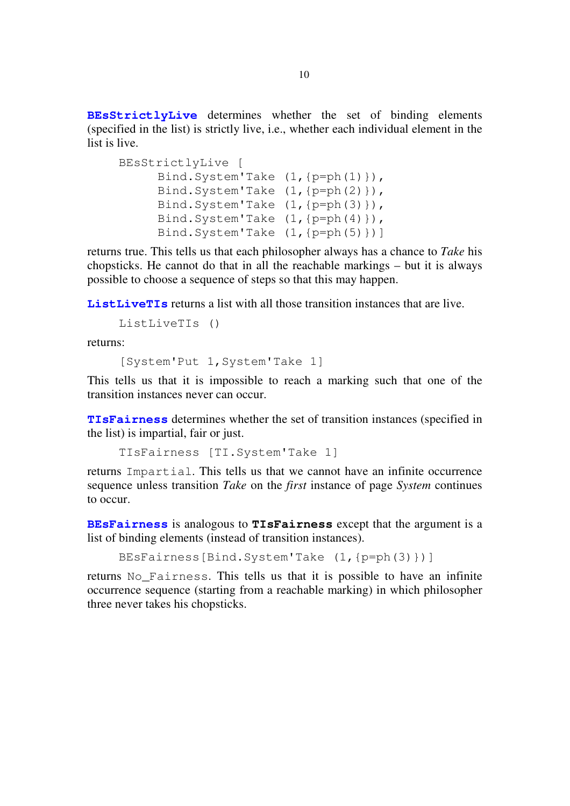BEsStrictlyLive determines whether the set of binding elements (specified in the list) is strictly live, i.e., whether each individual element in the list is live.

```
BEsStrictlyLive [
     Bind.System'Take (1,{p=ph(1)}),
     Bind.System'Take (1, {p=ph(2)}),
     Bind.System'Take (1,{p=ph(3)}),
     Bind.System'Take (1,{p=ph(4)}),
     Bind.System'Take (1,{p=ph(5)})]
```
returns true. This tells us that each philosopher always has a chance to Take his chopsticks. He cannot do that in all the reachable markings – but it is always possible to choose a sequence of steps so that this may happen.

ListLiveTIs returns a list with all those transition instances that are live.

```
ListLiveTIs ()
```
returns:

```
[System'Put 1,System'Take 1]
```
This tells us that it is impossible to reach a marking such that one of the transition instances never can occur.

**TISFairness** determines whether the set of transition instances (specified in the list) is impartial, fair or just.

```
TIsFairness [TI.System'Take 1]
```
returns Impartial. This tells us that we cannot have an infinite occurrence sequence unless transition Take on the first instance of page System continues to occur.

**BESFairness** is analogous to **TISFairness** except that the argument is a list of binding elements (instead of transition instances).

```
BEsFairness[Bind.System'Take (1,{p=ph(3)})]
```
returns No\_Fairness. This tells us that it is possible to have an infinite occurrence sequence (starting from a reachable marking) in which philosopher three never takes his chopsticks.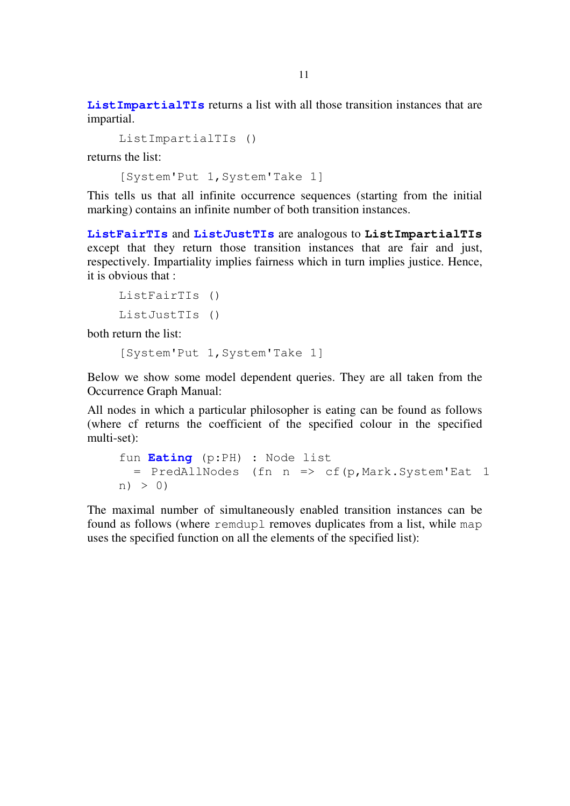ListImpartialTIs returns a list with all those transition instances that are impartial.

ListImpartialTIs ()

returns the list:

[System'Put 1,System'Take 1]

This tells us that all infinite occurrence sequences (starting from the initial marking) contains an infinite number of both transition instances.

ListFairTIs and ListJustTIs are analogous to ListImpartialTIs except that they return those transition instances that are fair and just, respectively. Impartiality implies fairness which in turn implies justice. Hence, it is obvious that :

```
ListFairTIs ()
ListJustTIs ()
```
both return the list:

```
[System'Put 1,System'Take 1]
```
Below we show some model dependent queries. They are all taken from the Occurrence Graph Manual:

All nodes in which a particular philosopher is eating can be found as follows (where cf returns the coefficient of the specified colour in the specified multi-set):

```
fun Eating (p:PH) : Node list
 = PredAllNodes (fn n => cf(p,Mark.System'Eat 1
n) > 0)
```
The maximal number of simultaneously enabled transition instances can be found as follows (where remdupl removes duplicates from a list, while map uses the specified function on all the elements of the specified list):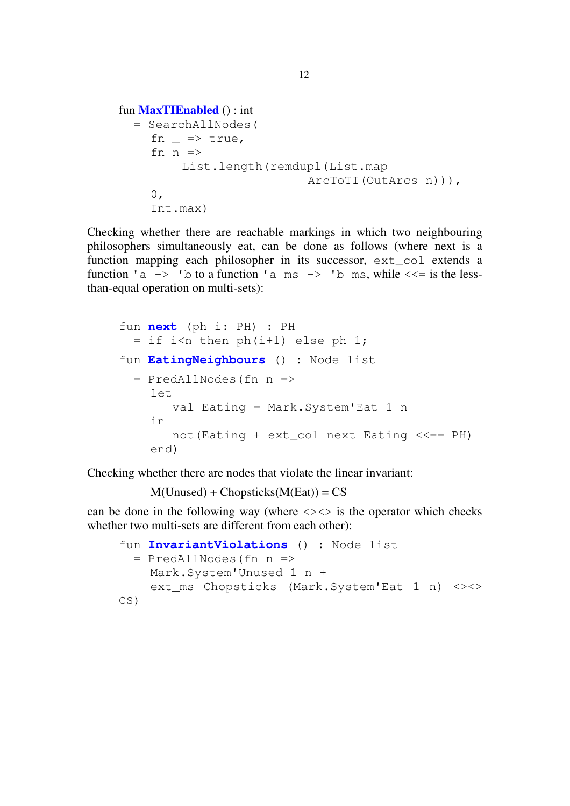```
fun MaxTIEnabled () : int
  = SearchAllNodes(
     fn = > true,
     fn n \RightarrowList.length(remdupl(List.map
                                ArcToTI(OutArcs n))),
     0<sub>r</sub>Int.max)
```
Checking whether there are reachable markings in which two neighbouring philosophers simultaneously eat, can be done as follows (where next is a function mapping each philosopher in its successor, ext col extends a function 'a  $\rightarrow$  'b to a function 'a ms  $\rightarrow$  'b ms, while  $\ll$  = is the lessthan-equal operation on multi-sets):

```
fun next (ph i: PH) : PH
 = if i<n then ph(i+1) else ph 1;
fun EatingNeighbours () : Node list
 = PredAllNodes(fn n =>
    letval Eating = Mark.System'Eat 1 n
    in
       not(Eating + ext col next Eating \leq == PH)
    end)
```
Checking whether there are nodes that violate the linear invariant:

 $M(Unused) + Chopsticks(M(Ext)) = CS$ 

can be done in the following way (where  $\langle \rangle \langle \rangle$  is the operator which checks whether two multi-sets are different from each other):

```
fun InvariantViolations () : Node list.
  = PredAllNodes(fn n =>
    Mark.System'Unused 1 n +
    ext_ms Chopsticks (Mark.System'Eat 1 n) <><>
CS)
```